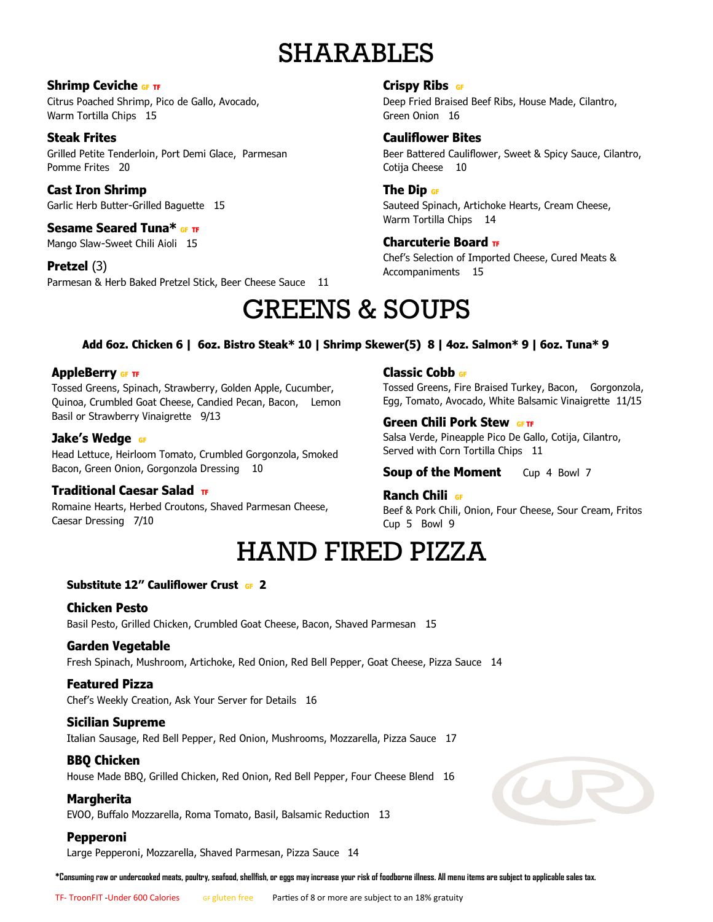# SHARABLES

#### **Shrimp Ceviche GF TF**

Citrus Poached Shrimp, Pico de Gallo, Avocado, Warm Tortilla Chips 15

### **Steak Frites**

Grilled Petite Tenderloin, Port Demi Glace, Parmesan Pomme Frites 20

### **Cast Iron Shrimp**

Garlic Herb Butter-Grilled Baguette 15

#### **Sesame Seared Tuna\* GF TF**

Mango Slaw-Sweet Chili Aioli 15

#### **Pretzel** (3)

Parmesan & Herb Baked Pretzel Stick, Beer Cheese Sauce 11

#### **Crispy Ribs GF**

Deep Fried Braised Beef Ribs, House Made, Cilantro, Green Onion 16

#### **Cauliflower Bites**

Beer Battered Cauliflower, Sweet & Spicy Sauce, Cilantro, Cotija Cheese 10

#### **The Dip GF**

Sauteed Spinach, Artichoke Hearts, Cream Cheese, Warm Tortilla Chips 14

#### **Charcuterie Board TF**

Chef's Selection of Imported Cheese, Cured Meats & Accompaniments 15

# GREENS & SOUPS

#### **Add 6oz. Chicken 6 | 6oz. Bistro Steak\* 10 | Shrimp Skewer(5) 8 | 4oz. Salmon\* 9 | 6oz. Tuna\* 9**

#### **AppleBerry GF TF**

Tossed Greens, Spinach, Strawberry, Golden Apple, Cucumber, Quinoa, Crumbled Goat Cheese, Candied Pecan, Bacon, Lemon Basil or Strawberry Vinaigrette 9/13

#### **Jake's Wedge GF**

Head Lettuce, Heirloom Tomato, Crumbled Gorgonzola, Smoked Bacon, Green Onion, Gorgonzola Dressing 10

#### **Traditional Caesar Salad TF**

Romaine Hearts, Herbed Croutons, Shaved Parmesan Cheese, Caesar Dressing 7/10

**Classic Cobb GF** 

Tossed Greens, Fire Braised Turkey, Bacon, Gorgonzola, Egg, Tomato, Avocado, White Balsamic Vinaigrette 11/15

#### **Green Chili Pork Stew GFTF**

Salsa Verde, Pineapple Pico De Gallo, Cotija, Cilantro, Served with Corn Tortilla Chips 11

**Soup of the Moment** Cup 4 Bowl 7

#### **Ranch Chili GF**

Beef & Pork Chili, Onion, Four Cheese, Sour Cream, Fritos Cup 5 Bowl 9

### HAND FIRED PIZZA

#### **Substitute 12" Cauliflower Crust GF 2**

#### **Chicken Pesto**  Basil Pesto, Grilled Chicken, Crumbled Goat Cheese, Bacon, Shaved Parmesan 15

#### **Garden Vegetable**

Fresh Spinach, Mushroom, Artichoke, Red Onion, Red Bell Pepper, Goat Cheese, Pizza Sauce 14

#### **Featured Pizza**

Chef's Weekly Creation, Ask Your Server for Details 16

#### **Sicilian Supreme**

Italian Sausage, Red Bell Pepper, Red Onion, Mushrooms, Mozzarella, Pizza Sauce 17

#### **BBQ Chicken**

House Made BBQ, Grilled Chicken, Red Onion, Red Bell Pepper, Four Cheese Blend 16

#### **Margherita**

EVOO, Buffalo Mozzarella, Roma Tomato, Basil, Balsamic Reduction 13

#### **Pepperoni**

Large Pepperoni, Mozzarella, Shaved Parmesan, Pizza Sauce 14

**\*Consuming raw or undercooked meats, poultry, seafood, shellfish, or eggs may increase your risk of foodborne illness. All menu items are subject to applicable sales tax.**